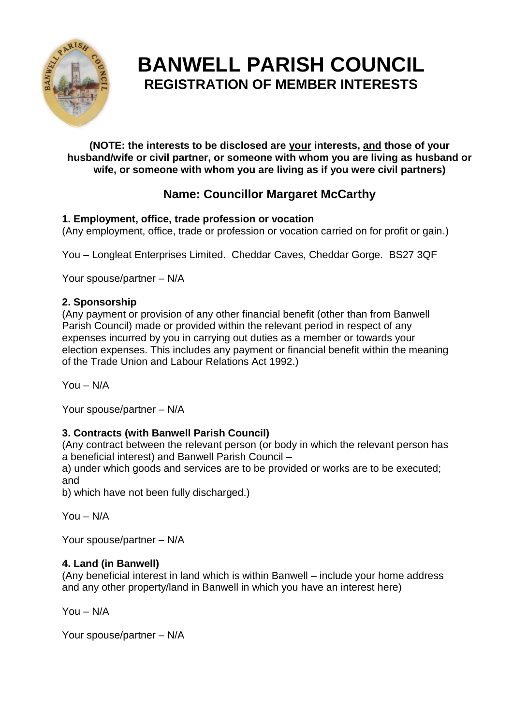

# **BANWELL PARISH COUNCIL REGISTRATION OF MEMBER INTERESTS**

**(NOTE: the interests to be disclosed are your interests, and those of your husband/wife or civil partner, or someone with whom you are living as husband or wife, or someone with whom you are living as if you were civil partners)**

# **Name: Councillor Margaret McCarthy**

# **1. Employment, office, trade profession or vocation**

(Any employment, office, trade or profession or vocation carried on for profit or gain.)

You – Longleat Enterprises Limited. Cheddar Caves, Cheddar Gorge. BS27 3QF

Your spouse/partner – N/A

### **2. Sponsorship**

(Any payment or provision of any other financial benefit (other than from Banwell Parish Council) made or provided within the relevant period in respect of any expenses incurred by you in carrying out duties as a member or towards your election expenses. This includes any payment or financial benefit within the meaning of the Trade Union and Labour Relations Act 1992.)

You – N/A

Your spouse/partner – N/A

# **3. Contracts (with Banwell Parish Council)**

(Any contract between the relevant person (or body in which the relevant person has a beneficial interest) and Banwell Parish Council –

a) under which goods and services are to be provided or works are to be executed; and

b) which have not been fully discharged.)

You – N/A

Your spouse/partner – N/A

### **4. Land (in Banwell)**

(Any beneficial interest in land which is within Banwell – include your home address and any other property/land in Banwell in which you have an interest here)

You – N/A

Your spouse/partner – N/A